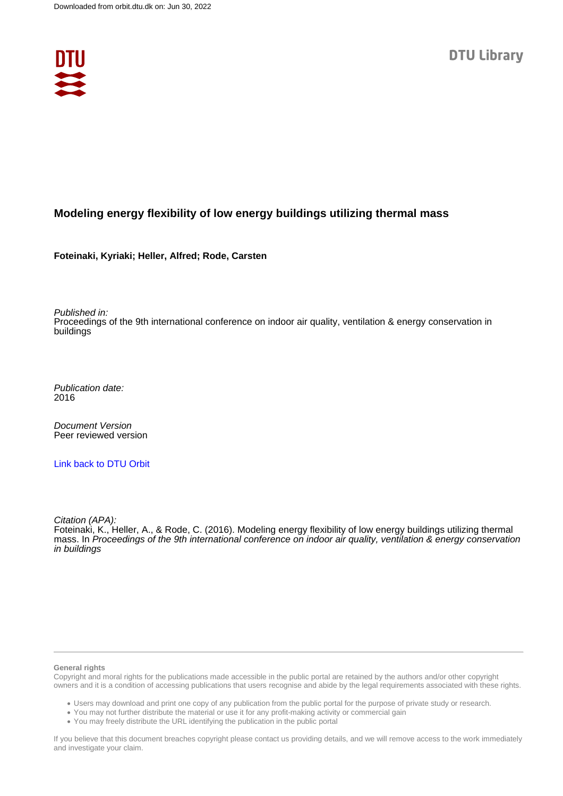

#### **Modeling energy flexibility of low energy buildings utilizing thermal mass**

**Foteinaki, Kyriaki; Heller, Alfred; Rode, Carsten**

Published in:

Proceedings of the 9th international conference on indoor air quality, ventilation & energy conservation in buildings

Publication date: 2016

Document Version Peer reviewed version

[Link back to DTU Orbit](https://orbit.dtu.dk/en/publications/a5ecd686-fc3e-4411-958f-c425ceead39a)

Citation (APA):

Foteinaki, K., Heller, A., & Rode, C. (2016). Modeling energy flexibility of low energy buildings utilizing thermal mass. In Proceedings of the 9th international conference on indoor air quality, ventilation & energy conservation in buildings

#### **General rights**

Copyright and moral rights for the publications made accessible in the public portal are retained by the authors and/or other copyright owners and it is a condition of accessing publications that users recognise and abide by the legal requirements associated with these rights.

Users may download and print one copy of any publication from the public portal for the purpose of private study or research.

- You may not further distribute the material or use it for any profit-making activity or commercial gain
- You may freely distribute the URL identifying the publication in the public portal

If you believe that this document breaches copyright please contact us providing details, and we will remove access to the work immediately and investigate your claim.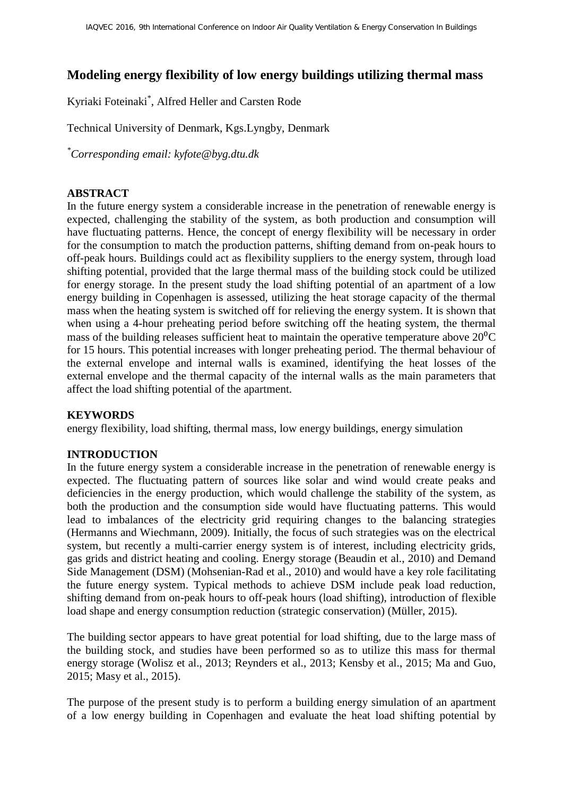# **Modeling energy flexibility of low energy buildings utilizing thermal mass**

Kyriaki Foteinaki\* , Alfred Heller and Carsten Rode

Technical University of Denmark, Kgs.Lyngby, Denmark

*\*Corresponding email: kyfote@byg.dtu.dk*

### **ABSTRACT**

In the future energy system a considerable increase in the penetration of renewable energy is expected, challenging the stability of the system, as both production and consumption will have fluctuating patterns. Hence, the concept of energy flexibility will be necessary in order for the consumption to match the production patterns, shifting demand from on-peak hours to off-peak hours. Buildings could act as flexibility suppliers to the energy system, through load shifting potential, provided that the large thermal mass of the building stock could be utilized for energy storage. In the present study the load shifting potential of an apartment of a low energy building in Copenhagen is assessed, utilizing the heat storage capacity of the thermal mass when the heating system is switched off for relieving the energy system. It is shown that when using a 4-hour preheating period before switching off the heating system, the thermal mass of the building releases sufficient heat to maintain the operative temperature above  $20^{0}C$ for 15 hours. This potential increases with longer preheating period. The thermal behaviour of the external envelope and internal walls is examined, identifying the heat losses of the external envelope and the thermal capacity of the internal walls as the main parameters that affect the load shifting potential of the apartment.

#### **KEYWORDS**

energy flexibility, load shifting, thermal mass, low energy buildings, energy simulation

#### **INTRODUCTION**

In the future energy system a considerable increase in the penetration of renewable energy is expected. The fluctuating pattern of sources like solar and wind would create peaks and deficiencies in the energy production, which would challenge the stability of the system, as both the production and the consumption side would have fluctuating patterns. This would lead to imbalances of the electricity grid requiring changes to the balancing strategies (Hermanns and Wiechmann, 2009). Initially, the focus of such strategies was on the electrical system, but recently a multi-carrier energy system is of interest, including electricity grids, gas grids and district heating and cooling. Energy storage (Beaudin et al., 2010) and Demand Side Management (DSM) (Mohsenian-Rad et al., 2010) and would have a key role facilitating the future energy system. Typical methods to achieve DSM include peak load reduction, shifting demand from on-peak hours to off-peak hours (load shifting), introduction of flexible load shape and energy consumption reduction (strategic conservation) (Müller, 2015).

The building sector appears to have great potential for load shifting, due to the large mass of the building stock, and studies have been performed so as to utilize this mass for thermal energy storage (Wolisz et al., 2013; Reynders et al., 2013; Kensby et al., 2015; Ma and Guo, 2015; Masy et al., 2015).

The purpose of the present study is to perform a building energy simulation of an apartment of a low energy building in Copenhagen and evaluate the heat load shifting potential by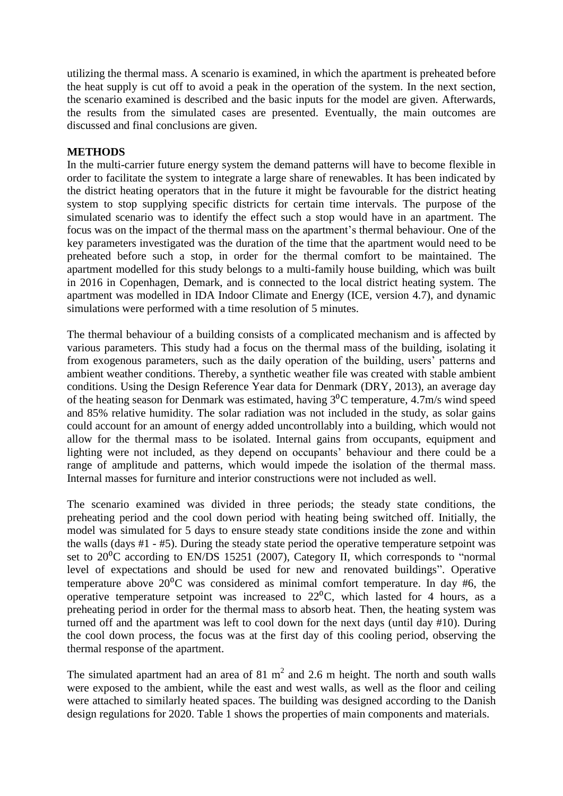utilizing the thermal mass. A scenario is examined, in which the apartment is preheated before the heat supply is cut off to avoid a peak in the operation of the system. In the next section, the scenario examined is described and the basic inputs for the model are given. Afterwards, the results from the simulated cases are presented. Eventually, the main outcomes are discussed and final conclusions are given.

#### **METHODS**

In the multi-carrier future energy system the demand patterns will have to become flexible in order to facilitate the system to integrate a large share of renewables. It has been indicated by the district heating operators that in the future it might be favourable for the district heating system to stop supplying specific districts for certain time intervals. The purpose of the simulated scenario was to identify the effect such a stop would have in an apartment. The focus was on the impact of the thermal mass on the apartment's thermal behaviour. One of the key parameters investigated was the duration of the time that the apartment would need to be preheated before such a stop, in order for the thermal comfort to be maintained. The apartment modelled for this study belongs to a multi-family house building, which was built in 2016 in Copenhagen, Demark, and is connected to the local district heating system. The apartment was modelled in IDA Indoor Climate and Energy (ICE, version 4.7), and dynamic simulations were performed with a time resolution of 5 minutes.

The thermal behaviour of a building consists of a complicated mechanism and is affected by various parameters. This study had a focus on the thermal mass of the building, isolating it from exogenous parameters, such as the daily operation of the building, users' patterns and ambient weather conditions. Thereby, a synthetic weather file was created with stable ambient conditions. Using the Design Reference Year data for Denmark (DRY, 2013), an average day of the heating season for Denmark was estimated, having  $3^{0}C$  temperature, 4.7m/s wind speed and 85% relative humidity. The solar radiation was not included in the study, as solar gains could account for an amount of energy added uncontrollably into a building, which would not allow for the thermal mass to be isolated. Internal gains from occupants, equipment and lighting were not included, as they depend on occupants' behaviour and there could be a range of amplitude and patterns, which would impede the isolation of the thermal mass. Internal masses for furniture and interior constructions were not included as well.

The scenario examined was divided in three periods; the steady state conditions, the preheating period and the cool down period with heating being switched off. Initially, the model was simulated for 5 days to ensure steady state conditions inside the zone and within the walls (days #1 - #5). During the steady state period the operative temperature setpoint was set to  $20\textdegree$ C according to EN/DS 15251 (2007), Category II, which corresponds to "normal level of expectations and should be used for new and renovated buildings". Operative temperature above  $20^{\circ}$ C was considered as minimal comfort temperature. In day #6, the operative temperature setpoint was increased to  $22^{\circ}$ C, which lasted for 4 hours, as a preheating period in order for the thermal mass to absorb heat. Then, the heating system was turned off and the apartment was left to cool down for the next days (until day #10). During the cool down process, the focus was at the first day of this cooling period, observing the thermal response of the apartment.

The simulated apartment had an area of  $81 \text{ m}^2$  and  $2.6 \text{ m}$  height. The north and south walls were exposed to the ambient, while the east and west walls, as well as the floor and ceiling were attached to similarly heated spaces. The building was designed according to the Danish design regulations for 2020. [Table 1](#page-3-0) shows the properties of main components and materials.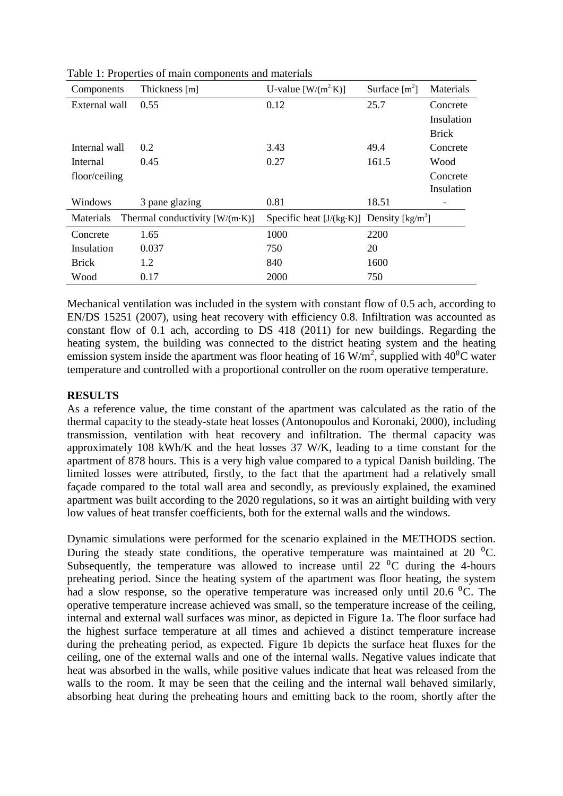| Components    | Thickness [m]                          | U-value $[W/(m^2 K)]$                         | Surface $[m^2]$ | Materials    |
|---------------|----------------------------------------|-----------------------------------------------|-----------------|--------------|
| External wall | 0.55                                   | 0.12                                          | 25.7            | Concrete     |
|               |                                        |                                               |                 | Insulation   |
|               |                                        |                                               |                 | <b>Brick</b> |
| Internal wall | 0.2                                    | 3.43                                          | 49.4            | Concrete     |
| Internal      | 0.45                                   | 0.27                                          | 161.5           | Wood         |
| floor/ceiling |                                        |                                               |                 | Concrete     |
|               |                                        |                                               |                 | Insulation   |
| Windows       | 3 pane glazing                         | 0.81                                          | 18.51           |              |
| Materials     | Thermal conductivity $[W/(m \cdot K)]$ | Specific heat $[J/(kg·K)]$ Density $[kg/m^3]$ |                 |              |
| Concrete      | 1.65                                   | 1000                                          | 2200            |              |
| Insulation    | 0.037                                  | 750                                           | 20              |              |
| <b>Brick</b>  | 1.2                                    | 840                                           | 1600            |              |
| Wood          | 0.17                                   | 2000                                          | 750             |              |

<span id="page-3-0"></span>Table 1: Properties of main components and materials

Mechanical ventilation was included in the system with constant flow of 0.5 ach, according to EN/DS 15251 (2007), using heat recovery with efficiency 0.8. Infiltration was accounted as constant flow of 0.1 ach, according to DS 418 (2011) for new buildings. Regarding the heating system, the building was connected to the district heating system and the heating emission system inside the apartment was floor heating of 16 W/m<sup>2</sup>, supplied with 40<sup>o</sup>C water temperature and controlled with a proportional controller on the room operative temperature.

# **RESULTS**

As a reference value, the time constant of the apartment was calculated as the ratio of the thermal capacity to the steady-state heat losses (Antonopoulos and Koronaki, 2000), including transmission, ventilation with heat recovery and infiltration. The thermal capacity was approximately 108 kWh/K and the heat losses 37 W/K, leading to a time constant for the apartment of 878 hours. This is a very high value compared to a typical Danish building. The limited losses were attributed, firstly, to the fact that the apartment had a relatively small façade compared to the total wall area and secondly, as previously explained, the examined apartment was built according to the 2020 regulations, so it was an airtight building with very low values of heat transfer coefficients, both for the external walls and the windows.

Dynamic simulations were performed for the scenario explained in the METHODS section. During the steady state conditions, the operative temperature was maintained at 20  $^{\circ}$ C. Subsequently, the temperature was allowed to increase until 22  $\mathrm{^0C}$  during the 4-hours preheating period. Since the heating system of the apartment was floor heating, the system had a slow response, so the operative temperature was increased only until 20.6  $^{\circ}$ C. The operative temperature increase achieved was small, so the temperature increase of the ceiling, internal and external wall surfaces was minor, as depicted in Figure 1a. The floor surface had the highest surface temperature at all times and achieved a distinct temperature increase during the preheating period, as expected. Figure 1b depicts the surface heat fluxes for the ceiling, one of the external walls and one of the internal walls. Negative values indicate that heat was absorbed in the walls, while positive values indicate that heat was released from the walls to the room. It may be seen that the ceiling and the internal wall behaved similarly, absorbing heat during the preheating hours and emitting back to the room, shortly after the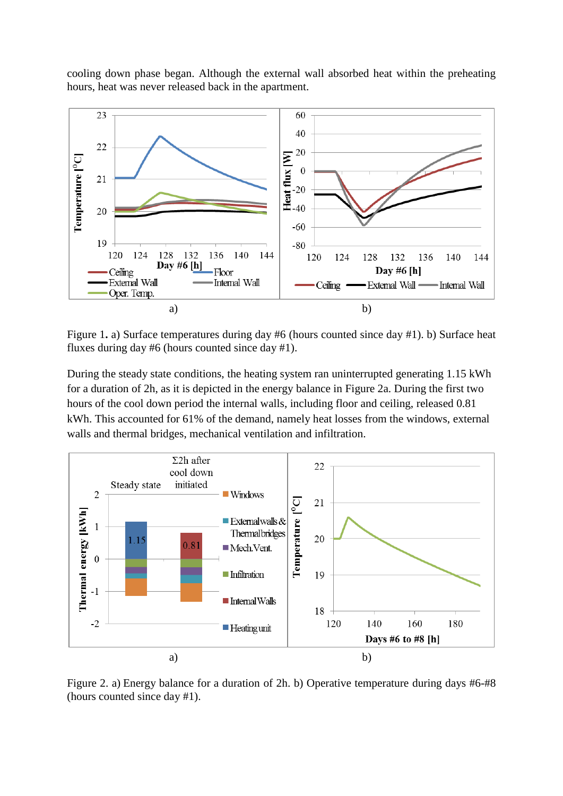cooling down phase began. Although the external wall absorbed heat within the preheating hours, heat was never released back in the apartment.



Figure 1**.** a) Surface temperatures during day #6 (hours counted since day #1). b) Surface heat fluxes during day #6 (hours counted since day #1).

During the steady state conditions, the heating system ran uninterrupted generating 1.15 kWh for a duration of 2h, as it is depicted in the energy balance in Figure 2a. During the first two hours of the cool down period the internal walls, including floor and ceiling, released 0.81 kWh. This accounted for 61% of the demand, namely heat losses from the windows, external walls and thermal bridges, mechanical ventilation and infiltration.



Figure 2. a) Energy balance for a duration of 2h. b) Operative temperature during days #6-#8 (hours counted since day #1).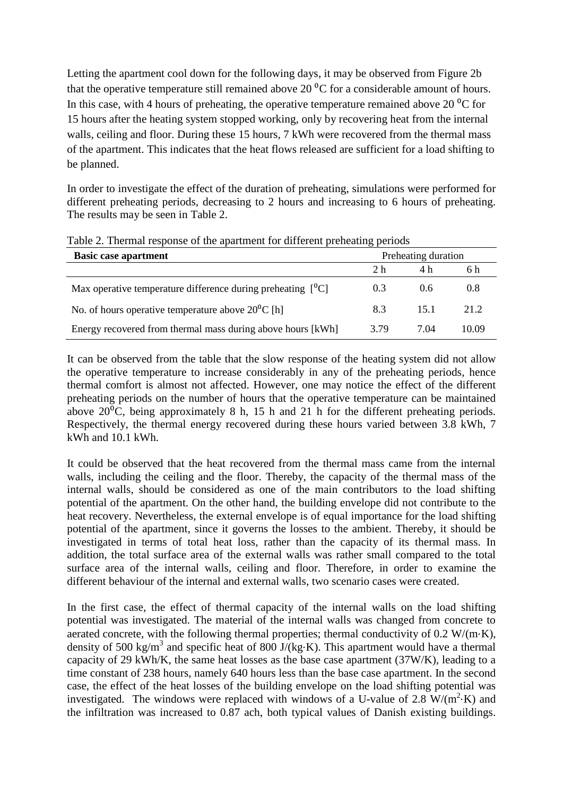Letting the apartment cool down for the following days, it may be observed from Figure 2b that the operative temperature still remained above 20  $^{\circ}$ C for a considerable amount of hours. In this case, with 4 hours of preheating, the operative temperature remained above 20 $\rm{^{0}C}$  for 15 hours after the heating system stopped working, only by recovering heat from the internal walls, ceiling and floor. During these 15 hours, 7 kWh were recovered from the thermal mass of the apartment. This indicates that the heat flows released are sufficient for a load shifting to be planned.

In order to investigate the effect of the duration of preheating, simulations were performed for different preheating periods, decreasing to 2 hours and increasing to 6 hours of preheating. The results may be seen in [Table 2.](#page-5-0)

| ັ<br>Preheating duration<br><b>Basic case apartment</b>                      |      |      |       |
|------------------------------------------------------------------------------|------|------|-------|
|                                                                              | 2 h  | 4 h  | 6 h   |
| Max operative temperature difference during preheating $\lceil {^0}C \rceil$ | 0.3  | 0.6  | 0.8   |
| No. of hours operative temperature above $20^{\circ}$ C [h]                  | 8.3  | 15.1 | 21.2  |
| Energy recovered from thermal mass during above hours [kWh]                  | 3.79 | 7 04 | 10.09 |

<span id="page-5-0"></span>Table 2. Thermal response of the apartment for different preheating periods

It can be observed from the table that the slow response of the heating system did not allow the operative temperature to increase considerably in any of the preheating periods, hence thermal comfort is almost not affected. However, one may notice the effect of the different preheating periods on the number of hours that the operative temperature can be maintained above  $20^{\circ}$ C, being approximately 8 h, 15 h and 21 h for the different preheating periods. Respectively, the thermal energy recovered during these hours varied between 3.8 kWh, 7 kWh and 10.1 kWh.

It could be observed that the heat recovered from the thermal mass came from the internal walls, including the ceiling and the floor. Thereby, the capacity of the thermal mass of the internal walls, should be considered as one of the main contributors to the load shifting potential of the apartment. On the other hand, the building envelope did not contribute to the heat recovery. Nevertheless, the external envelope is of equal importance for the load shifting potential of the apartment, since it governs the losses to the ambient. Thereby, it should be investigated in terms of total heat loss, rather than the capacity of its thermal mass. In addition, the total surface area of the external walls was rather small compared to the total surface area of the internal walls, ceiling and floor. Therefore, in order to examine the different behaviour of the internal and external walls, two scenario cases were created.

In the first case, the effect of thermal capacity of the internal walls on the load shifting potential was investigated. The material of the internal walls was changed from concrete to aerated concrete, with the following thermal properties; thermal conductivity of  $0.2 W/(m·K)$ , density of 500 kg/m<sup>3</sup> and specific heat of 800 J/(kg⋅K). This apartment would have a thermal capacity of 29 kWh/K, the same heat losses as the base case apartment (37W/K), leading to a time constant of 238 hours, namely 640 hours less than the base case apartment. In the second case, the effect of the heat losses of the building envelope on the load shifting potential was investigated. The windows were replaced with windows of a U-value of 2.8  $W/(m^2 \cdot K)$  and the infiltration was increased to 0.87 ach, both typical values of Danish existing buildings.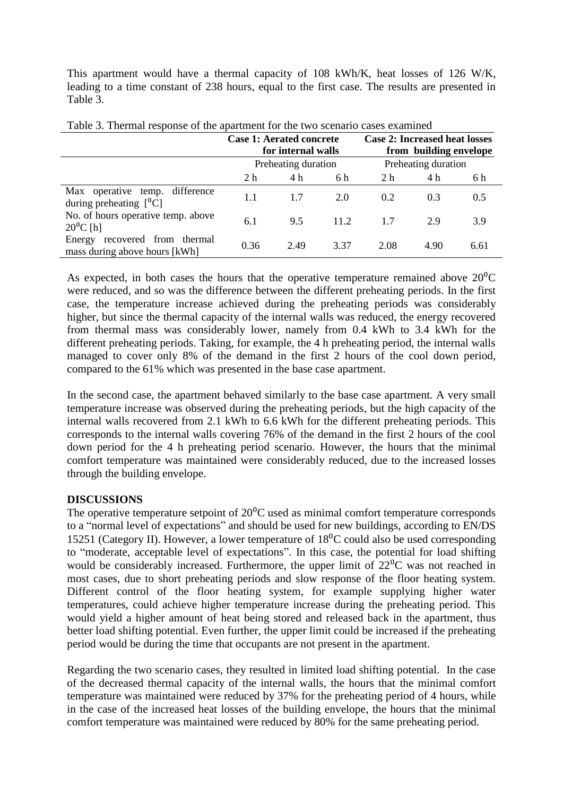This apartment would have a thermal capacity of 108 kWh/K, heat losses of 126 W/K, leading to a time constant of 238 hours, equal to the first case. The results are presented in [Table 3.](#page-6-0)

|                                                                    | <b>Case 1: Aerated concrete</b><br>for internal walls |      |      | <b>Case 2: Increased heat losses</b><br>from building envelope |      |      |  |
|--------------------------------------------------------------------|-------------------------------------------------------|------|------|----------------------------------------------------------------|------|------|--|
|                                                                    | Preheating duration                                   |      |      | Preheating duration                                            |      |      |  |
|                                                                    | 2 <sub>h</sub>                                        | 4 h  | 6 h  | 2 h                                                            | 4 h  | 6 h  |  |
| difference<br>Max operative temp.<br>during preheating $[{}^{0}C]$ | 1.1                                                   | 1.7  | 2.0  | 0.2                                                            | 0.3  | 0.5  |  |
| No. of hours operative temp. above<br>$20^{\circ}$ C [h]           | 6.1                                                   | 9.5  | 11.2 | 17                                                             | 2.9  | 3.9  |  |
| recovered from thermal<br>Energy<br>mass during above hours [kWh]  | 0.36                                                  | 2.49 | 3.37 | 2.08                                                           | 4.90 | 6.61 |  |

<span id="page-6-0"></span>

| Table 3. Thermal response of the apartment for the two scenario cases examined |  |  |  |
|--------------------------------------------------------------------------------|--|--|--|
|                                                                                |  |  |  |
|                                                                                |  |  |  |

As expected, in both cases the hours that the operative temperature remained above  $20^{\circ}$ C were reduced, and so was the difference between the different preheating periods. In the first case, the temperature increase achieved during the preheating periods was considerably higher, but since the thermal capacity of the internal walls was reduced, the energy recovered from thermal mass was considerably lower, namely from 0.4 kWh to 3.4 kWh for the different preheating periods. Taking, for example, the 4 h preheating period, the internal walls managed to cover only 8% of the demand in the first 2 hours of the cool down period, compared to the 61% which was presented in the base case apartment.

In the second case, the apartment behaved similarly to the base case apartment. A very small temperature increase was observed during the preheating periods, but the high capacity of the internal walls recovered from 2.1 kWh to 6.6 kWh for the different preheating periods. This corresponds to the internal walls covering 76% of the demand in the first 2 hours of the cool down period for the 4 h preheating period scenario. However, the hours that the minimal comfort temperature was maintained were considerably reduced, due to the increased losses through the building envelope.

# **DISCUSSIONS**

The operative temperature setpoint of  $20^{\circ}$ C used as minimal comfort temperature corresponds to a "normal level of expectations" and should be used for new buildings, according to EN/DS 15251 (Category II). However, a lower temperature of  $18^{0}$ C could also be used corresponding to "moderate, acceptable level of expectations". In this case, the potential for load shifting would be considerably increased. Furthermore, the upper limit of  $22\degree$ C was not reached in most cases, due to short preheating periods and slow response of the floor heating system. Different control of the floor heating system, for example supplying higher water temperatures, could achieve higher temperature increase during the preheating period. This would yield a higher amount of heat being stored and released back in the apartment, thus better load shifting potential. Even further, the upper limit could be increased if the preheating period would be during the time that occupants are not present in the apartment.

Regarding the two scenario cases, they resulted in limited load shifting potential. In the case of the decreased thermal capacity of the internal walls, the hours that the minimal comfort temperature was maintained were reduced by 37% for the preheating period of 4 hours, while in the case of the increased heat losses of the building envelope, the hours that the minimal comfort temperature was maintained were reduced by 80% for the same preheating period.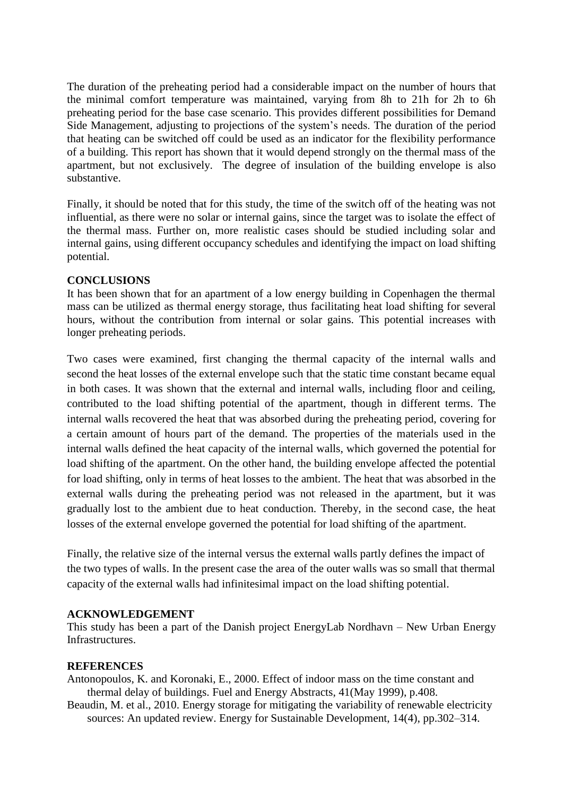The duration of the preheating period had a considerable impact on the number of hours that the minimal comfort temperature was maintained, varying from 8h to 21h for 2h to 6h preheating period for the base case scenario. This provides different possibilities for Demand Side Management, adjusting to projections of the system's needs. The duration of the period that heating can be switched off could be used as an indicator for the flexibility performance of a building. This report has shown that it would depend strongly on the thermal mass of the apartment, but not exclusively. The degree of insulation of the building envelope is also substantive.

Finally, it should be noted that for this study, the time of the switch off of the heating was not influential, as there were no solar or internal gains, since the target was to isolate the effect of the thermal mass. Further on, more realistic cases should be studied including solar and internal gains, using different occupancy schedules and identifying the impact on load shifting potential.

### **CONCLUSIONS**

It has been shown that for an apartment of a low energy building in Copenhagen the thermal mass can be utilized as thermal energy storage, thus facilitating heat load shifting for several hours, without the contribution from internal or solar gains. This potential increases with longer preheating periods.

Two cases were examined, first changing the thermal capacity of the internal walls and second the heat losses of the external envelope such that the static time constant became equal in both cases. It was shown that the external and internal walls, including floor and ceiling, contributed to the load shifting potential of the apartment, though in different terms. The internal walls recovered the heat that was absorbed during the preheating period, covering for a certain amount of hours part of the demand. The properties of the materials used in the internal walls defined the heat capacity of the internal walls, which governed the potential for load shifting of the apartment. On the other hand, the building envelope affected the potential for load shifting, only in terms of heat losses to the ambient. The heat that was absorbed in the external walls during the preheating period was not released in the apartment, but it was gradually lost to the ambient due to heat conduction. Thereby, in the second case, the heat losses of the external envelope governed the potential for load shifting of the apartment.

Finally, the relative size of the internal versus the external walls partly defines the impact of the two types of walls. In the present case the area of the outer walls was so small that thermal capacity of the external walls had infinitesimal impact on the load shifting potential.

# **ACKNOWLEDGEMENT**

This study has been a part of the Danish project EnergyLab Nordhavn – New Urban Energy Infrastructures.

#### **REFERENCES**

Antonopoulos, K. and Koronaki, E., 2000. Effect of indoor mass on the time constant and thermal delay of buildings. Fuel and Energy Abstracts, 41(May 1999), p.408.

Beaudin, M. et al., 2010. Energy storage for mitigating the variability of renewable electricity sources: An updated review. Energy for Sustainable Development, 14(4), pp.302–314.